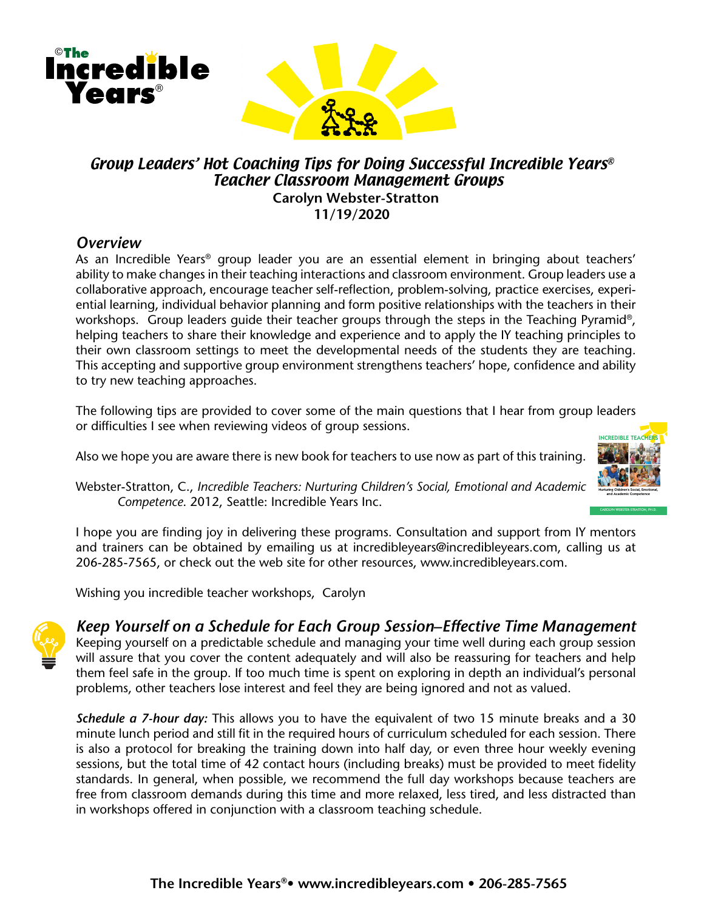

# Group Leaders' Hot Coaching Tips for Doing Successful Incredible Years® Teacher Classroom Management Groups **Carolyn Webster-Stratton 11/19/2020**

# *Overview*

As an Incredible Years® group leader you are an essential element in bringing about teachers' ability to make changes in their teaching interactions and classroom environment. Group leaders use a collaborative approach, encourage teacher self-reflection, problem-solving, practice exercises, experiential learning, individual behavior planning and form positive relationships with the teachers in their workshops. Group leaders guide their teacher groups through the steps in the Teaching Pyramid®, helping teachers to share their knowledge and experience and to apply the IY teaching principles to their own classroom settings to meet the developmental needs of the students they are teaching. This accepting and supportive group environment strengthens teachers' hope, confidence and ability to try new teaching approaches.

The following tips are provided to cover some of the main questions that I hear from group leaders or difficulties I see when reviewing videos of group sessions.

Also we hope you are aware there is new book for teachers to use now as part of this training.

Webster-Stratton, C., *Incredible Teachers: Nurturing Children's Social, Emotional and Academic Competence*. 2012, Seattle: Incredible Years Inc.

I hope you are finding joy in delivering these programs. Consultation and support from IY mentors and trainers can be obtained by emailing us at incredibleyears@incredibleyears.com, calling us at 206-285-7565, or check out the web site for other resources, www.incredibleyears.com.

Wishing you incredible teacher workshops, Carolyn



*Keep Yourself on a Schedule for Each Group Session–Effective Time Management* Keeping yourself on a predictable schedule and managing your time well during each group session will assure that you cover the content adequately and will also be reassuring for teachers and help them feel safe in the group. If too much time is spent on exploring in depth an individual's personal problems, other teachers lose interest and feel they are being ignored and not as valued.

*Schedule a 7-hour day:* This allows you to have the equivalent of two 15 minute breaks and a 30 minute lunch period and still fit in the required hours of curriculum scheduled for each session. There is also a protocol for breaking the training down into half day, or even three hour weekly evening sessions, but the total time of 42 contact hours (including breaks) must be provided to meet fidelity standards. In general, when possible, we recommend the full day workshops because teachers are free from classroom demands during this time and more relaxed, less tired, and less distracted than in workshops offered in conjunction with a classroom teaching schedule.



CAROLYN WEBSTER-STRATTON, PH.D.

Nurturing Children's Social, Emotional, and Academic Competence

INCREDIBLE TEACHERS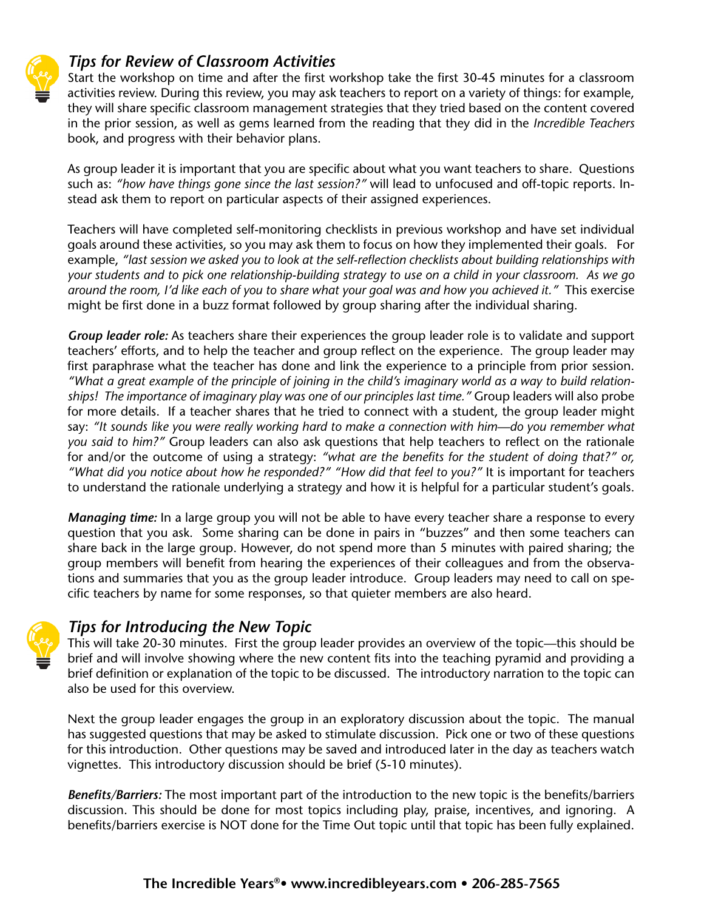# *Tips for Review of Classroom Activities*



Start the workshop on time and after the first workshop take the first 30-45 minutes for a classroom activities review. During this review, you may ask teachers to report on a variety of things: for example, they will share specific classroom management strategies that they tried based on the content covered in the prior session, as well as gems learned from the reading that they did in the *Incredible Teachers* book, and progress with their behavior plans.

As group leader it is important that you are specific about what you want teachers to share. Questions such as: *"how have things gone since the last session?"* will lead to unfocused and off-topic reports. Instead ask them to report on particular aspects of their assigned experiences.

Teachers will have completed self-monitoring checklists in previous workshop and have set individual goals around these activities, so you may ask them to focus on how they implemented their goals. For example, *"last session we asked you to look at the self-reflection checklists about building relationships with your students and to pick one relationship-building strategy to use on a child in your classroom. As we go around the room, I'd like each of you to share what your goal was and how you achieved it."* This exercise might be first done in a buzz format followed by group sharing after the individual sharing.

*Group leader role:* As teachers share their experiences the group leader role is to validate and support teachers' efforts, and to help the teacher and group reflect on the experience. The group leader may first paraphrase what the teacher has done and link the experience to a principle from prior session. *"What a great example of the principle of joining in the child's imaginary world as a way to build relationships! The importance of imaginary play was one of our principles last time."* Group leaders will also probe for more details. If a teacher shares that he tried to connect with a student, the group leader might say: *"It sounds like you were really working hard to make a connection with him—do you remember what you said to him?"* Group leaders can also ask questions that help teachers to reflect on the rationale for and/or the outcome of using a strategy: *"what are the benefits for the student of doing that?" or, "What did you notice about how he responded?" "How did that feel to you?"* It is important for teachers to understand the rationale underlying a strategy and how it is helpful for a particular student's goals.

*Managing time:* In a large group you will not be able to have every teacher share a response to every question that you ask. Some sharing can be done in pairs in "buzzes" and then some teachers can share back in the large group. However, do not spend more than 5 minutes with paired sharing; the group members will benefit from hearing the experiences of their colleagues and from the observations and summaries that you as the group leader introduce. Group leaders may need to call on specific teachers by name for some responses, so that quieter members are also heard.

# *Tips for Introducing the New Topic*

This will take 20-30 minutes. First the group leader provides an overview of the topic—this should be brief and will involve showing where the new content fits into the teaching pyramid and providing a brief definition or explanation of the topic to be discussed. The introductory narration to the topic can also be used for this overview.

Next the group leader engages the group in an exploratory discussion about the topic. The manual has suggested questions that may be asked to stimulate discussion. Pick one or two of these questions for this introduction. Other questions may be saved and introduced later in the day as teachers watch vignettes. This introductory discussion should be brief (5-10 minutes).

*Benefits/Barriers:* The most important part of the introduction to the new topic is the benefits/barriers discussion. This should be done for most topics including play, praise, incentives, and ignoring. A benefits/barriers exercise is NOT done for the Time Out topic until that topic has been fully explained.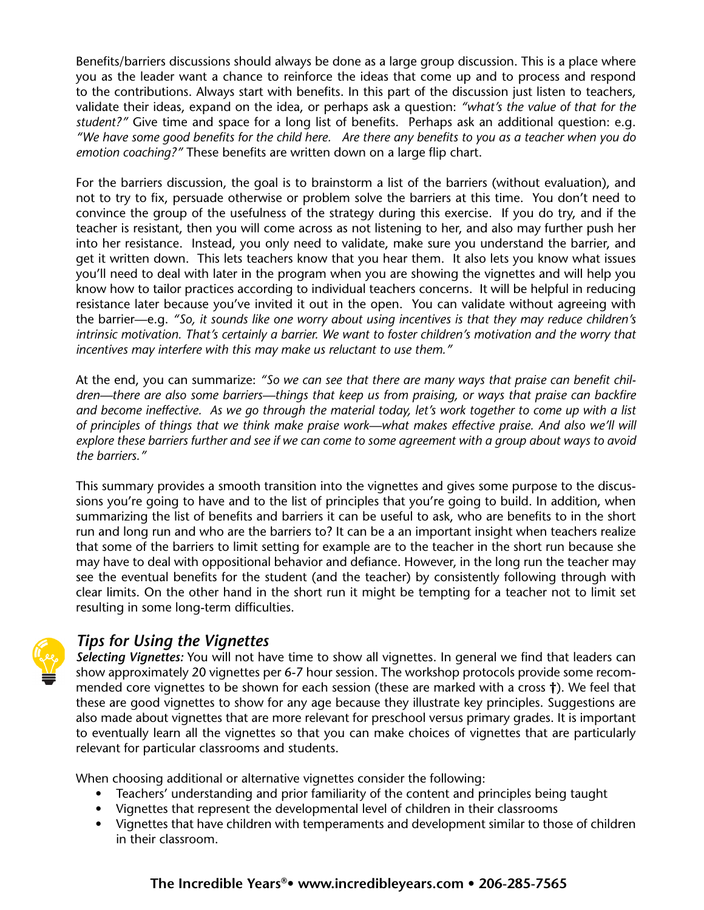Benefits/barriers discussions should always be done as a large group discussion. This is a place where you as the leader want a chance to reinforce the ideas that come up and to process and respond to the contributions. Always start with benefits. In this part of the discussion just listen to teachers, validate their ideas, expand on the idea, or perhaps ask a question: *"what's the value of that for the student?"* Give time and space for a long list of benefits. Perhaps ask an additional question: e.g. *"We have some good benefits for the child here. Are there any benefits to you as a teacher when you do emotion coaching?"* These benefits are written down on a large flip chart.

For the barriers discussion, the goal is to brainstorm a list of the barriers (without evaluation), and not to try to fix, persuade otherwise or problem solve the barriers at this time. You don't need to convince the group of the usefulness of the strategy during this exercise. If you do try, and if the teacher is resistant, then you will come across as not listening to her, and also may further push her into her resistance. Instead, you only need to validate, make sure you understand the barrier, and get it written down. This lets teachers know that you hear them. It also lets you know what issues you'll need to deal with later in the program when you are showing the vignettes and will help you know how to tailor practices according to individual teachers concerns. It will be helpful in reducing resistance later because you've invited it out in the open. You can validate without agreeing with the barrier—e.g. *"So, it sounds like one worry about using incentives is that they may reduce children's*  intrinsic motivation. That's certainly a barrier. We want to foster children's motivation and the worry that *incentives may interfere with this may make us reluctant to use them."* 

At the end, you can summarize: *"So we can see that there are many ways that praise can benefit children—there are also some barriers—things that keep us from praising, or ways that praise can backfire and become ineffective. As we go through the material today, let's work together to come up with a list of principles of things that we think make praise work—what makes effective praise. And also we'll will explore these barriers further and see if we can come to some agreement with a group about ways to avoid the barriers."*

This summary provides a smooth transition into the vignettes and gives some purpose to the discussions you're going to have and to the list of principles that you're going to build. In addition, when summarizing the list of benefits and barriers it can be useful to ask, who are benefits to in the short run and long run and who are the barriers to? It can be a an important insight when teachers realize that some of the barriers to limit setting for example are to the teacher in the short run because she may have to deal with oppositional behavior and defiance. However, in the long run the teacher may see the eventual benefits for the student (and the teacher) by consistently following through with clear limits. On the other hand in the short run it might be tempting for a teacher not to limit set resulting in some long-term difficulties.

# *Tips for Using the Vignettes*

*Selecting Vignettes:* You will not have time to show all vignettes. In general we find that leaders can show approximately 20 vignettes per 6-7 hour session. The workshop protocols provide some recommended core vignettes to be shown for each session (these are marked with a cross **†**). We feel that these are good vignettes to show for any age because they illustrate key principles. Suggestions are also made about vignettes that are more relevant for preschool versus primary grades. It is important to eventually learn all the vignettes so that you can make choices of vignettes that are particularly relevant for particular classrooms and students.

When choosing additional or alternative vignettes consider the following:

- Teachers' understanding and prior familiarity of the content and principles being taught
- Vignettes that represent the developmental level of children in their classrooms
- Vignettes that have children with temperaments and development similar to those of children in their classroom.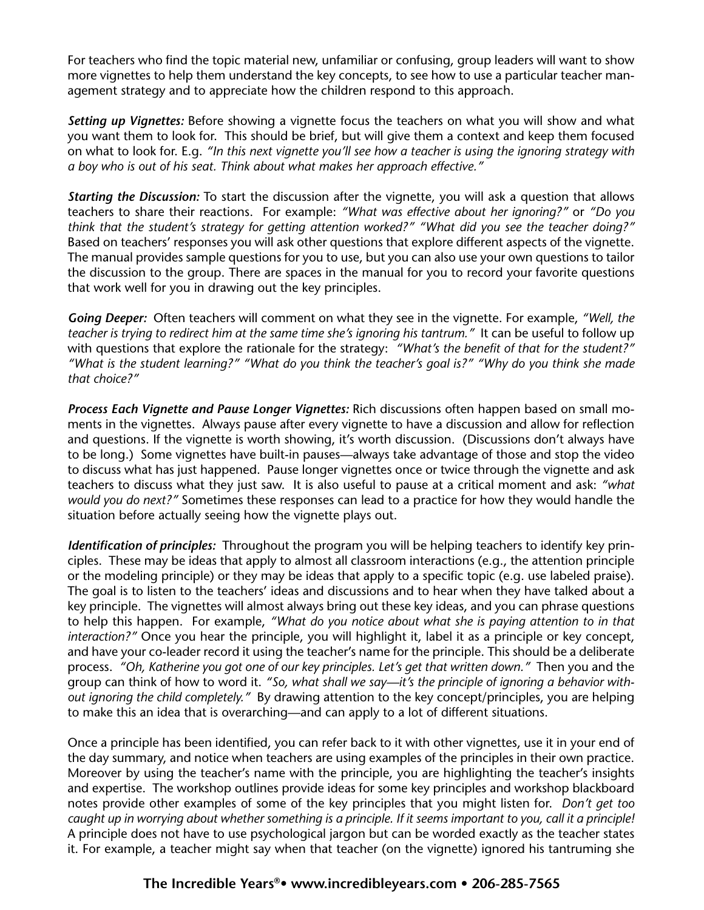For teachers who find the topic material new, unfamiliar or confusing, group leaders will want to show more vignettes to help them understand the key concepts, to see how to use a particular teacher management strategy and to appreciate how the children respond to this approach.

*Setting up Vignettes:* Before showing a vignette focus the teachers on what you will show and what you want them to look for. This should be brief, but will give them a context and keep them focused on what to look for. E.g. *"In this next vignette you'll see how a teacher is using the ignoring strategy with a boy who is out of his seat. Think about what makes her approach effective."* 

*Starting the Discussion:* To start the discussion after the vignette, you will ask a question that allows teachers to share their reactions. For example: *"What was effective about her ignoring?"* or *"Do you think that the student's strategy for getting attention worked?" "What did you see the teacher doing?"* Based on teachers' responses you will ask other questions that explore different aspects of the vignette. The manual provides sample questions for you to use, but you can also use your own questions to tailor the discussion to the group. There are spaces in the manual for you to record your favorite questions that work well for you in drawing out the key principles.

*Going Deeper:* Often teachers will comment on what they see in the vignette. For example, *"Well, the teacher is trying to redirect him at the same time she's ignoring his tantrum."* It can be useful to follow up with questions that explore the rationale for the strategy: *"What's the benefit of that for the student?" "What is the student learning?" "What do you think the teacher's goal is?" "Why do you think she made that choice?"* 

*Process Each Vignette and Pause Longer Vignettes:* Rich discussions often happen based on small moments in the vignettes. Always pause after every vignette to have a discussion and allow for reflection and questions. If the vignette is worth showing, it's worth discussion. (Discussions don't always have to be long.) Some vignettes have built-in pauses—always take advantage of those and stop the video to discuss what has just happened. Pause longer vignettes once or twice through the vignette and ask teachers to discuss what they just saw. It is also useful to pause at a critical moment and ask: *"what would you do next?"* Sometimes these responses can lead to a practice for how they would handle the situation before actually seeing how the vignette plays out.

*Identification of principles:* Throughout the program you will be helping teachers to identify key principles. These may be ideas that apply to almost all classroom interactions (e.g., the attention principle or the modeling principle) or they may be ideas that apply to a specific topic (e.g. use labeled praise). The goal is to listen to the teachers' ideas and discussions and to hear when they have talked about a key principle. The vignettes will almost always bring out these key ideas, and you can phrase questions to help this happen. For example, *"What do you notice about what she is paying attention to in that interaction?"* Once you hear the principle, you will highlight it, label it as a principle or key concept, and have your co-leader record it using the teacher's name for the principle. This should be a deliberate process. *"Oh, Katherine you got one of our key principles. Let's get that written down."* Then you and the group can think of how to word it. *"So, what shall we say—it's the principle of ignoring a behavior without ignoring the child completely."* By drawing attention to the key concept/principles, you are helping to make this an idea that is overarching—and can apply to a lot of different situations.

Once a principle has been identified, you can refer back to it with other vignettes, use it in your end of the day summary, and notice when teachers are using examples of the principles in their own practice. Moreover by using the teacher's name with the principle, you are highlighting the teacher's insights and expertise. The workshop outlines provide ideas for some key principles and workshop blackboard notes provide other examples of some of the key principles that you might listen for. *Don't get too caught up in worrying about whether something is a principle. If it seems important to you, call it a principle!*  A principle does not have to use psychological jargon but can be worded exactly as the teacher states it. For example, a teacher might say when that teacher (on the vignette) ignored his tantruming she

#### **The Incredible Years®• www.incredibleyears.com • 206-285-7565**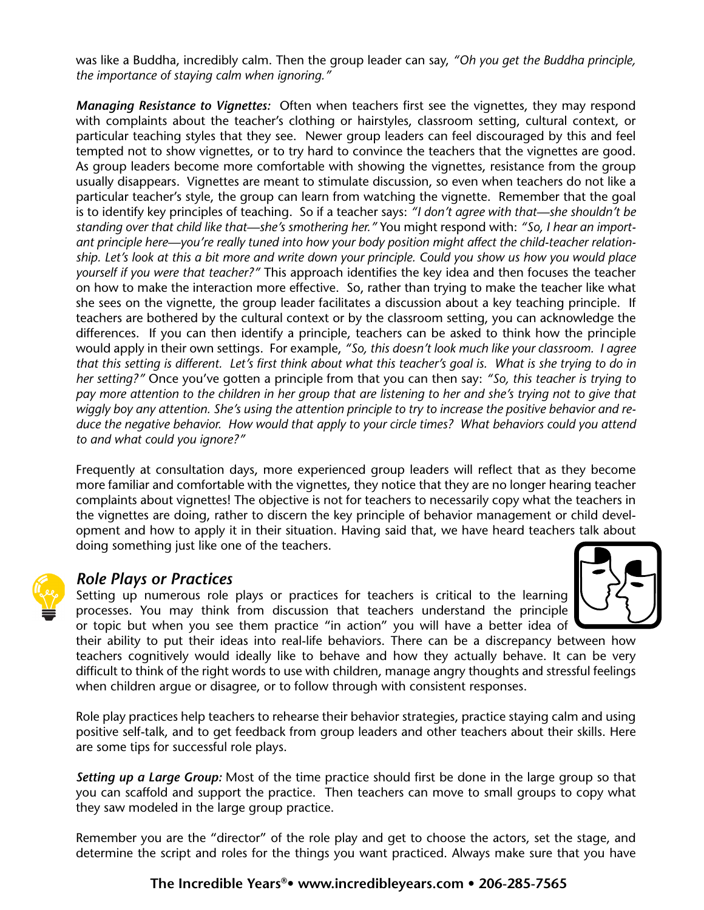was like a Buddha, incredibly calm. Then the group leader can say, *"Oh you get the Buddha principle, the importance of staying calm when ignoring."* 

*Managing Resistance to Vignettes:* Often when teachers first see the vignettes, they may respond with complaints about the teacher's clothing or hairstyles, classroom setting, cultural context, or particular teaching styles that they see. Newer group leaders can feel discouraged by this and feel tempted not to show vignettes, or to try hard to convince the teachers that the vignettes are good. As group leaders become more comfortable with showing the vignettes, resistance from the group usually disappears. Vignettes are meant to stimulate discussion, so even when teachers do not like a particular teacher's style, the group can learn from watching the vignette. Remember that the goal is to identify key principles of teaching. So if a teacher says: *"I don't agree with that—she shouldn't be standing over that child like that—she's smothering her."* You might respond with: *"So, I hear an important principle here—you're really tuned into how your body position might affect the child-teacher relationship. Let's look at this a bit more and write down your principle. Could you show us how you would place yourself if you were that teacher?"* This approach identifies the key idea and then focuses the teacher on how to make the interaction more effective. So, rather than trying to make the teacher like what she sees on the vignette, the group leader facilitates a discussion about a key teaching principle. If teachers are bothered by the cultural context or by the classroom setting, you can acknowledge the differences. If you can then identify a principle, teachers can be asked to think how the principle would apply in their own settings. For example, *"So, this doesn't look much like your classroom. I agree that this setting is different. Let's first think about what this teacher's goal is. What is she trying to do in her setting?"* Once you've gotten a principle from that you can then say: *"So, this teacher is trying to*  pay more attention to the children in her group that are listening to her and she's trying not to give that *wiggly boy any attention. She's using the attention principle to try to increase the positive behavior and reduce the negative behavior. How would that apply to your circle times? What behaviors could you attend to and what could you ignore?"*

Frequently at consultation days, more experienced group leaders will reflect that as they become more familiar and comfortable with the vignettes, they notice that they are no longer hearing teacher complaints about vignettes! The objective is not for teachers to necessarily copy what the teachers in the vignettes are doing, rather to discern the key principle of behavior management or child development and how to apply it in their situation. Having said that, we have heard teachers talk about doing something just like one of the teachers.

# *Role Plays or Practices*

Setting up numerous role plays or practices for teachers is critical to the learning processes. You may think from discussion that teachers understand the principle or topic but when you see them practice "in action" you will have a better idea of



their ability to put their ideas into real-life behaviors. There can be a discrepancy between how teachers cognitively would ideally like to behave and how they actually behave. It can be very difficult to think of the right words to use with children, manage angry thoughts and stressful feelings when children argue or disagree, or to follow through with consistent responses.

Role play practices help teachers to rehearse their behavior strategies, practice staying calm and using positive self-talk, and to get feedback from group leaders and other teachers about their skills. Here are some tips for successful role plays.

*Setting up a Large Group:* Most of the time practice should first be done in the large group so that you can scaffold and support the practice. Then teachers can move to small groups to copy what they saw modeled in the large group practice.

Remember you are the "director" of the role play and get to choose the actors, set the stage, and determine the script and roles for the things you want practiced. Always make sure that you have

#### **The Incredible Years®• www.incredibleyears.com • 206-285-7565**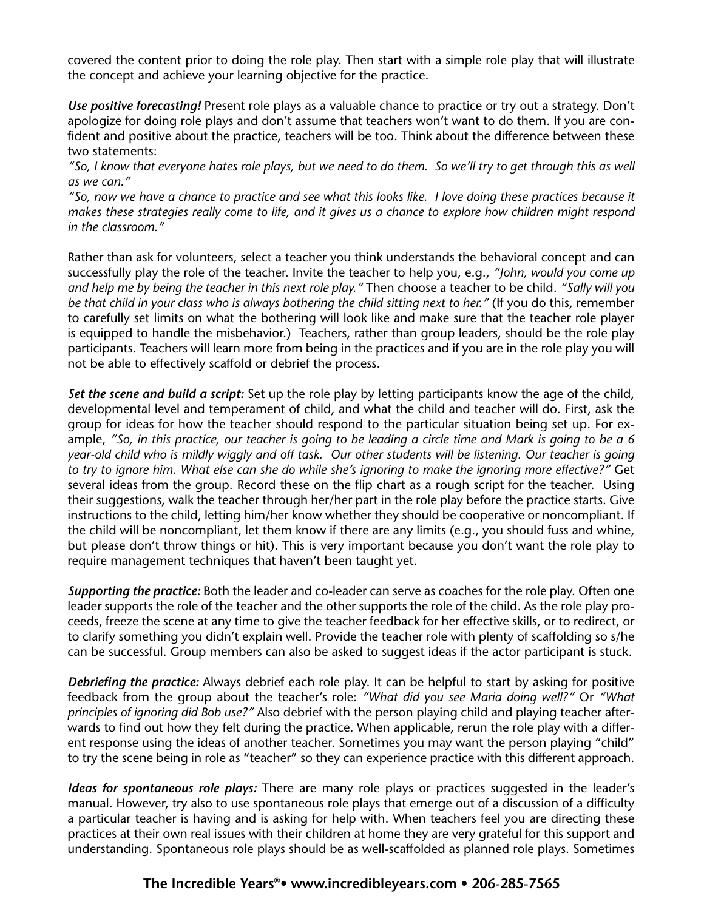covered the content prior to doing the role play. Then start with a simple role play that will illustrate the concept and achieve your learning objective for the practice.

*Use positive forecasting!* Present role plays as a valuable chance to practice or try out a strategy. Don't apologize for doing role plays and don't assume that teachers won't want to do them. If you are confident and positive about the practice, teachers will be too. Think about the difference between these two statements:

*"So, I know that everyone hates role plays, but we need to do them. So we'll try to get through this as well as we can."*

*"So, now we have a chance to practice and see what this looks like. I love doing these practices because it makes these strategies really come to life, and it gives us a chance to explore how children might respond in the classroom."*

Rather than ask for volunteers, select a teacher you think understands the behavioral concept and can successfully play the role of the teacher. Invite the teacher to help you, e.g., *"John, would you come up and help me by being the teacher in this next role play."* Then choose a teacher to be child. *"Sally will you be that child in your class who is always bothering the child sitting next to her."* (If you do this, remember to carefully set limits on what the bothering will look like and make sure that the teacher role player is equipped to handle the misbehavior.) Teachers, rather than group leaders, should be the role play participants. Teachers will learn more from being in the practices and if you are in the role play you will not be able to effectively scaffold or debrief the process.

*Set the scene and build a script:* Set up the role play by letting participants know the age of the child, developmental level and temperament of child, and what the child and teacher will do. First, ask the group for ideas for how the teacher should respond to the particular situation being set up. For example, *"So, in this practice, our teacher is going to be leading a circle time and Mark is going to be a 6 year-old child who is mildly wiggly and off task. Our other students will be listening. Our teacher is going to try to ignore him. What else can she do while she's ignoring to make the ignoring more effective?"* Get several ideas from the group. Record these on the flip chart as a rough script for the teacher. Using their suggestions, walk the teacher through her/her part in the role play before the practice starts. Give instructions to the child, letting him/her know whether they should be cooperative or noncompliant. If the child will be noncompliant, let them know if there are any limits (e.g., you should fuss and whine, but please don't throw things or hit). This is very important because you don't want the role play to require management techniques that haven't been taught yet.

*Supporting the practice:* Both the leader and co-leader can serve as coaches for the role play. Often one leader supports the role of the teacher and the other supports the role of the child. As the role play proceeds, freeze the scene at any time to give the teacher feedback for her effective skills, or to redirect, or to clarify something you didn't explain well. Provide the teacher role with plenty of scaffolding so s/he can be successful. Group members can also be asked to suggest ideas if the actor participant is stuck.

*Debriefing the practice:* Always debrief each role play. It can be helpful to start by asking for positive feedback from the group about the teacher's role: *"What did you see Maria doing well?"* Or *"What principles of ignoring did Bob use?"* Also debrief with the person playing child and playing teacher afterwards to find out how they felt during the practice. When applicable, rerun the role play with a different response using the ideas of another teacher. Sometimes you may want the person playing "child" to try the scene being in role as "teacher" so they can experience practice with this different approach.

*Ideas for spontaneous role plays:* There are many role plays or practices suggested in the leader's manual. However, try also to use spontaneous role plays that emerge out of a discussion of a difficulty a particular teacher is having and is asking for help with. When teachers feel you are directing these practices at their own real issues with their children at home they are very grateful for this support and understanding. Spontaneous role plays should be as well-scaffolded as planned role plays. Sometimes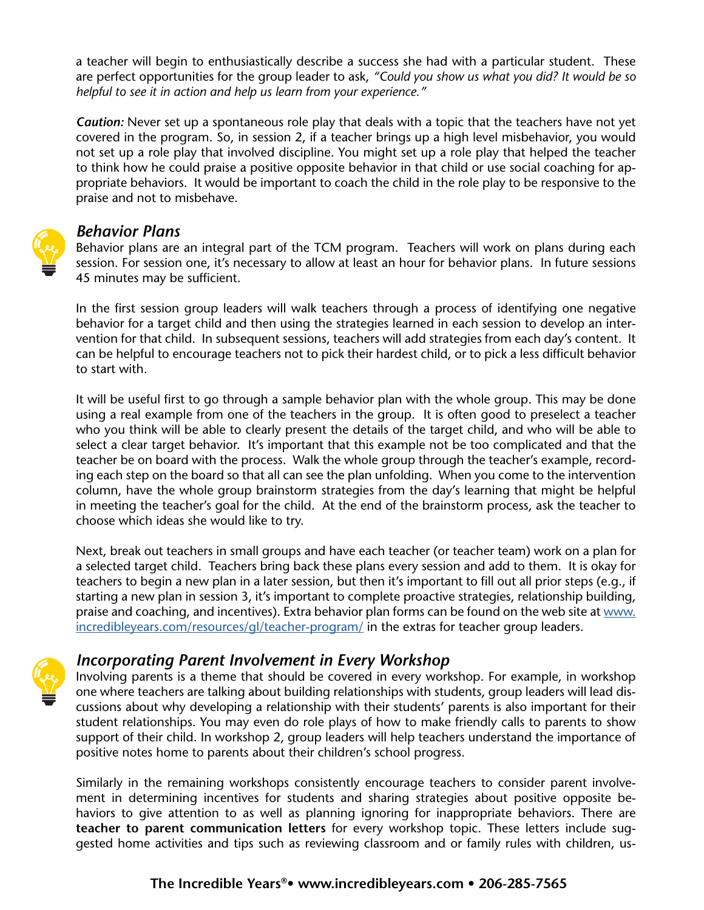a teacher will begin to enthusiastically describe a success she had with a particular student. These are perfect opportunities for the group leader to ask, *"Could you show us what you did? It would be so helpful to see it in action and help us learn from your experience."* 

*Caution:* Never set up a spontaneous role play that deals with a topic that the teachers have not yet covered in the program. So, in session 2, if a teacher brings up a high level misbehavior, you would not set up a role play that involved discipline. You might set up a role play that helped the teacher to think how he could praise a positive opposite behavior in that child or use social coaching for appropriate behaviors. It would be important to coach the child in the role play to be responsive to the praise and not to misbehave.

#### *Behavior Plans*

Behavior plans are an integral part of the TCM program. Teachers will work on plans during each session. For session one, it's necessary to allow at least an hour for behavior plans. In future sessions 45 minutes may be sufficient.

In the first session group leaders will walk teachers through a process of identifying one negative behavior for a target child and then using the strategies learned in each session to develop an intervention for that child. In subsequent sessions, teachers will add strategies from each day's content. It can be helpful to encourage teachers not to pick their hardest child, or to pick a less difficult behavior to start with.

It will be useful first to go through a sample behavior plan with the whole group. This may be done using a real example from one of the teachers in the group. It is often good to preselect a teacher who you think will be able to clearly present the details of the target child, and who will be able to select a clear target behavior. It's important that this example not be too complicated and that the teacher be on board with the process. Walk the whole group through the teacher's example, recording each step on the board so that all can see the plan unfolding. When you come to the intervention column, have the whole group brainstorm strategies from the day's learning that might be helpful in meeting the teacher's goal for the child. At the end of the brainstorm process, ask the teacher to choose which ideas she would like to try.

Next, break out teachers in small groups and have each teacher (or teacher team) work on a plan for a selected target child. Teachers bring back these plans every session and add to them. It is okay for teachers to begin a new plan in a later session, but then it's important to fill out all prior steps (e.g., if starting a new plan in session 3, it's important to complete proactive strategies, relationship building, praise and coaching, and incentives). Extra behavior plan forms can be found on the web site at [www.](http://www.incredibleyears.com/resources/gl/teacher-program/) [incredibleyears.com/resources/gl/teacher-program/](http://www.incredibleyears.com/resources/gl/teacher-program/) in the extras for teacher group leaders.

# *Incorporating Parent Involvement in Every Workshop*

Involving parents is a theme that should be covered in every workshop. For example, in workshop one where teachers are talking about building relationships with students, group leaders will lead discussions about why developing a relationship with their students' parents is also important for their student relationships. You may even do role plays of how to make friendly calls to parents to show support of their child. In workshop 2, group leaders will help teachers understand the importance of positive notes home to parents about their children's school progress.

Similarly in the remaining workshops consistently encourage teachers to consider parent involvement in determining incentives for students and sharing strategies about positive opposite behaviors to give attention to as well as planning ignoring for inappropriate behaviors. There are **teacher to parent communication letters** for every workshop topic. These letters include suggested home activities and tips such as reviewing classroom and or family rules with children, us-

# **The Incredible Years®• www.incredibleyears.com • 206-285-7565**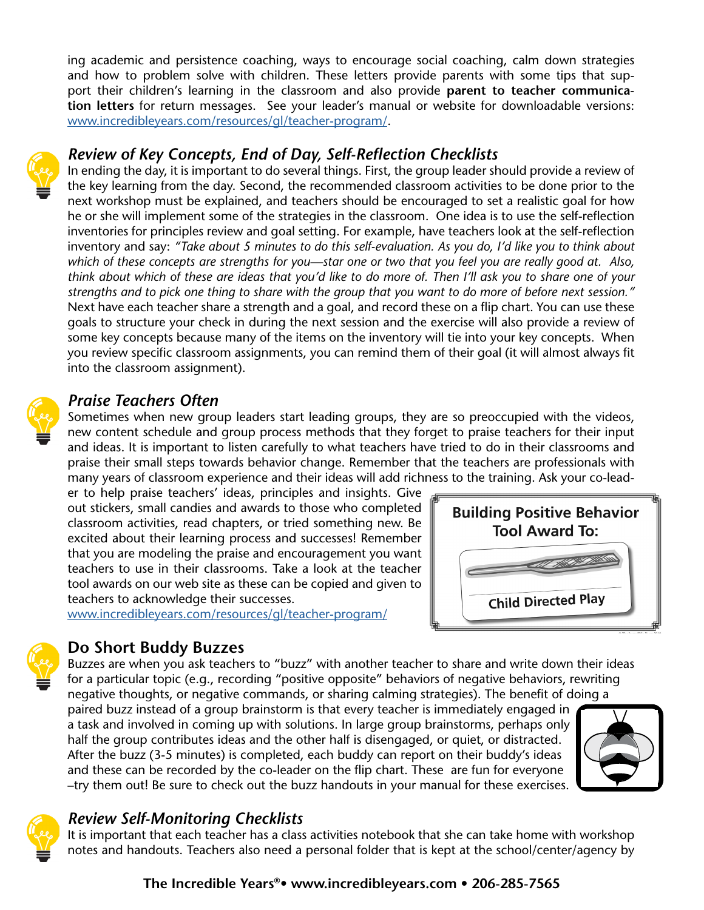ing academic and persistence coaching, ways to encourage social coaching, calm down strategies and how to problem solve with children. These letters provide parents with some tips that support their children's learning in the classroom and also provide **parent to teacher communication letters** for return messages. See your leader's manual or website for downloadable versions: [www.incredibleyears.com/resources/gl/teacher-program/](http://www.incredibleyears.com/resources/gl/teacher-program/).

# *Review of Key Concepts, End of Day, Self-Reflection Checklists*

In ending the day, it is important to do several things. First, the group leader should provide a review of the key learning from the day. Second, the recommended classroom activities to be done prior to the next workshop must be explained, and teachers should be encouraged to set a realistic goal for how he or she will implement some of the strategies in the classroom. One idea is to use the self-reflection inventories for principles review and goal setting. For example, have teachers look at the self-reflection inventory and say: *"Take about 5 minutes to do this self-evaluation. As you do, I'd like you to think about which of these concepts are strengths for you—star one or two that you feel you are really good at. Also, think about which of these are ideas that you'd like to do more of. Then I'll ask you to share one of your strengths and to pick one thing to share with the group that you want to do more of before next session."* Next have each teacher share a strength and a goal, and record these on a flip chart. You can use these goals to structure your check in during the next session and the exercise will also provide a review of some key concepts because many of the items on the inventory will tie into your key concepts. When you review specific classroom assignments, you can remind them of their goal (it will almost always fit into the classroom assignment).

# *Praise Teachers Often*

Sometimes when new group leaders start leading groups, they are so preoccupied with the videos, new content schedule and group process methods that they forget to praise teachers for their input and ideas. It is important to listen carefully to what teachers have tried to do in their classrooms and praise their small steps towards behavior change. Remember that the teachers are professionals with many years of classroom experience and their ideas will add richness to the training. Ask your co-lead-

er to help praise teachers' ideas, principles and insights. Give out stickers, small candies and awards to those who completed classroom activities, read chapters, or tried something new. Be excited about their learning process and successes! Remember that you are modeling the praise and encouragement you want teachers to use in their classrooms. Take a look at the teacher tool awards on our web site as these can be copied and given to teachers to acknowledge their successes.

[www.incredibleyears.com/resources/gl/teacher-program/](http://www.incredibleyears.com/resources/gl/teacher-program/)

# **Building Positive Behavior Tool Award To: Child Directed Play**

# **Do Short Buddy Buzzes**

Buzzes are when you ask teachers to "buzz" with another teacher to share and write down their ideas for a particular topic (e.g., recording "positive opposite" behaviors of negative behaviors, rewriting negative thoughts, or negative commands, or sharing calming strategies). The benefit of doing a

paired buzz instead of a group brainstorm is that every teacher is immediately engaged in a task and involved in coming up with solutions. In large group brainstorms, perhaps only half the group contributes ideas and the other half is disengaged, or quiet, or distracted. After the buzz (3-5 minutes) is completed, each buddy can report on their buddy's ideas and these can be recorded by the co-leader on the flip chart. These are fun for everyone –try them out! Be sure to check out the buzz handouts in your manual for these exercises.



# *Review Self-Monitoring Checklists*

It is important that each teacher has a class activities notebook that she can take home with workshop notes and handouts. Teachers also need a personal folder that is kept at the school/center/agency by





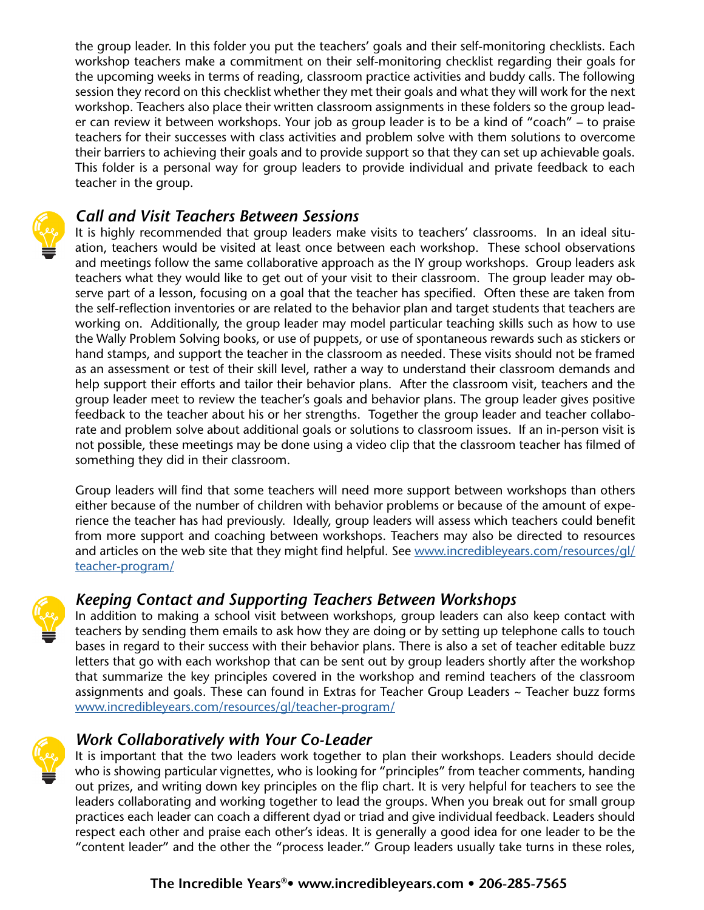the group leader. In this folder you put the teachers' goals and their self-monitoring checklists. Each workshop teachers make a commitment on their self-monitoring checklist regarding their goals for the upcoming weeks in terms of reading, classroom practice activities and buddy calls. The following session they record on this checklist whether they met their goals and what they will work for the next workshop. Teachers also place their written classroom assignments in these folders so the group leader can review it between workshops. Your job as group leader is to be a kind of "coach" – to praise teachers for their successes with class activities and problem solve with them solutions to overcome their barriers to achieving their goals and to provide support so that they can set up achievable goals. This folder is a personal way for group leaders to provide individual and private feedback to each teacher in the group.

# *Call and Visit Teachers Between Sessions*

It is highly recommended that group leaders make visits to teachers' classrooms. In an ideal situation, teachers would be visited at least once between each workshop. These school observations and meetings follow the same collaborative approach as the IY group workshops. Group leaders ask teachers what they would like to get out of your visit to their classroom. The group leader may observe part of a lesson, focusing on a goal that the teacher has specified. Often these are taken from the self-reflection inventories or are related to the behavior plan and target students that teachers are working on. Additionally, the group leader may model particular teaching skills such as how to use the Wally Problem Solving books, or use of puppets, or use of spontaneous rewards such as stickers or hand stamps, and support the teacher in the classroom as needed. These visits should not be framed as an assessment or test of their skill level, rather a way to understand their classroom demands and help support their efforts and tailor their behavior plans. After the classroom visit, teachers and the group leader meet to review the teacher's goals and behavior plans. The group leader gives positive feedback to the teacher about his or her strengths. Together the group leader and teacher collaborate and problem solve about additional goals or solutions to classroom issues. If an in-person visit is not possible, these meetings may be done using a video clip that the classroom teacher has filmed of something they did in their classroom.

Group leaders will find that some teachers will need more support between workshops than others either because of the number of children with behavior problems or because of the amount of experience the teacher has had previously. Ideally, group leaders will assess which teachers could benefit from more support and coaching between workshops. Teachers may also be directed to resources and articles on the web site that they might find helpful. See [www.incredibleyears.com/resources/gl/](http://www.incredibleyears.com/resources/gl/teacher-program/) [teacher-program/](http://www.incredibleyears.com/resources/gl/teacher-program/)



# *Keeping Contact and Supporting Teachers Between Workshops*

In addition to making a school visit between workshops, group leaders can also keep contact with teachers by sending them emails to ask how they are doing or by setting up telephone calls to touch bases in regard to their success with their behavior plans. There is also a set of teacher editable buzz letters that go with each workshop that can be sent out by group leaders shortly after the workshop that summarize the key principles covered in the workshop and remind teachers of the classroom assignments and goals. These can found in Extras for Teacher Group Leaders ~ Teacher buzz forms [www.incredibleyears.com/resources/gl/teacher-program/](http://www.incredibleyears.com/resources/gl/teacher-program/)



# *Work Collaboratively with Your Co-Leader*

It is important that the two leaders work together to plan their workshops. Leaders should decide who is showing particular vignettes, who is looking for "principles" from teacher comments, handing out prizes, and writing down key principles on the flip chart. It is very helpful for teachers to see the leaders collaborating and working together to lead the groups. When you break out for small group practices each leader can coach a different dyad or triad and give individual feedback. Leaders should respect each other and praise each other's ideas. It is generally a good idea for one leader to be the "content leader" and the other the "process leader." Group leaders usually take turns in these roles,